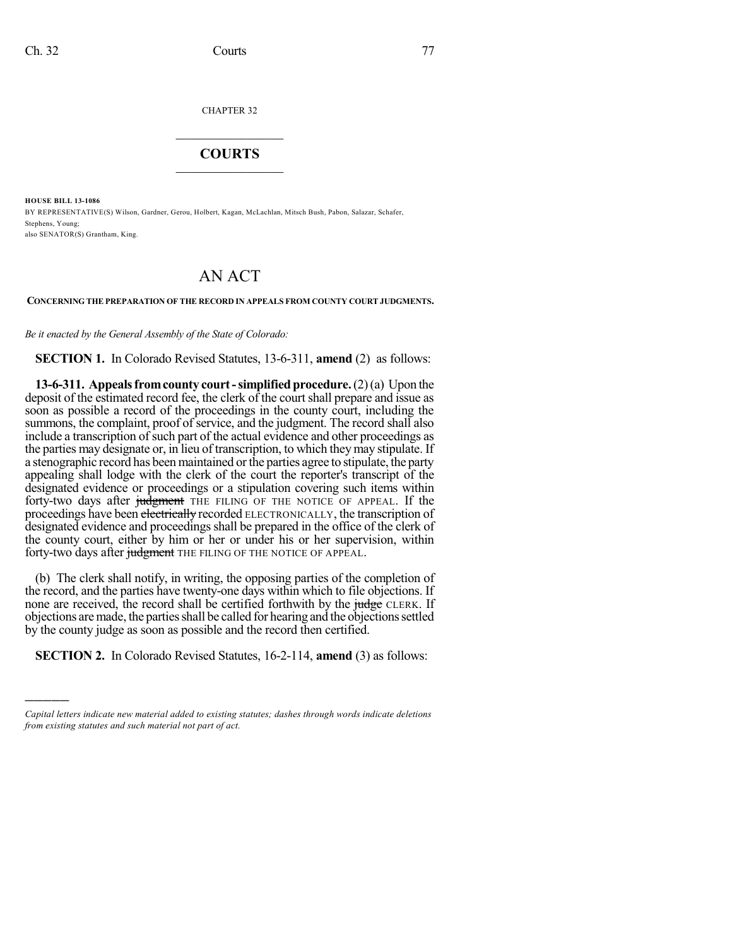)))))

CHAPTER 32

## $\overline{\phantom{a}}$  . The set of the set of the set of the set of the set of the set of the set of the set of the set of the set of the set of the set of the set of the set of the set of the set of the set of the set of the set o **COURTS**  $\_$   $\_$   $\_$   $\_$   $\_$   $\_$   $\_$   $\_$

**HOUSE BILL 13-1086** BY REPRESENTATIVE(S) Wilson, Gardner, Gerou, Holbert, Kagan, McLachlan, Mitsch Bush, Pabon, Salazar, Schafer, Stephens, Young; also SENATOR(S) Grantham, King.

## AN ACT

## **CONCERNING THE PREPARATION OF THE RECORD IN APPEALS FROM COUNTY COURT JUDGMENTS.**

*Be it enacted by the General Assembly of the State of Colorado:*

**SECTION 1.** In Colorado Revised Statutes, 13-6-311, **amend** (2) as follows:

**13-6-311. Appealsfromcounty court-simplified procedure.**(2)(a) Upon the deposit of the estimated record fee, the clerk of the court shall prepare and issue as soon as possible a record of the proceedings in the county court, including the summons, the complaint, proof of service, and the judgment. The record shall also include a transcription of such part of the actual evidence and other proceedings as the parties may designate or, in lieu of transcription, to which theymay stipulate. If a stenographic record has been maintained orthe parties agree to stipulate, the party appealing shall lodge with the clerk of the court the reporter's transcript of the designated evidence or proceedings or a stipulation covering such items within forty-two days after judgment THE FILING OF THE NOTICE OF APPEAL. If the proceedings have been electrically recorded ELECTRONICALLY, the transcription of designated evidence and proceedings shall be prepared in the office of the clerk of the county court, either by him or her or under his or her supervision, within forty-two days after judgment THE FILING OF THE NOTICE OF APPEAL.

(b) The clerk shall notify, in writing, the opposing parties of the completion of the record, and the parties have twenty-one days within which to file objections. If none are received, the record shall be certified forthwith by the judge CLERK. If objections are made, the parties shall be called for hearing and the objections settled by the county judge as soon as possible and the record then certified.

**SECTION 2.** In Colorado Revised Statutes, 16-2-114, **amend** (3) as follows:

*Capital letters indicate new material added to existing statutes; dashes through words indicate deletions from existing statutes and such material not part of act.*